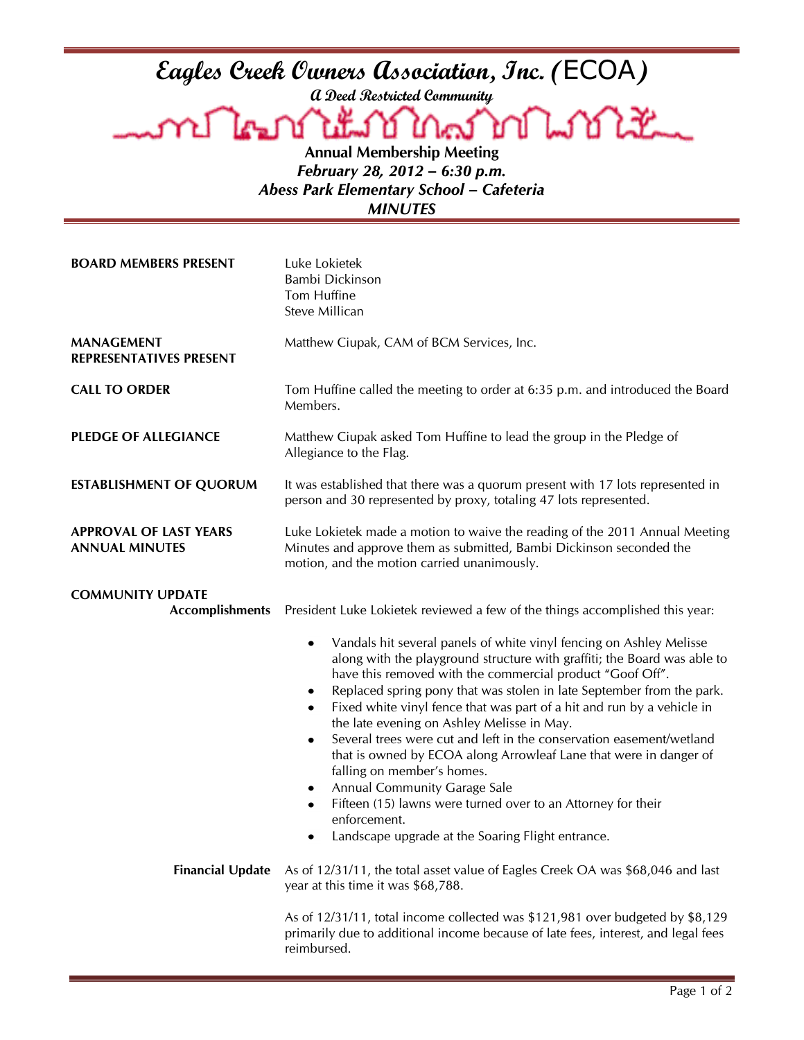**A Deed Restricted Community**

Eagles Creek Owners Association, Inc. (ECOA)<br>a Deed Restricted Community<br>A **CHALLES OF COAL COALLES** Lookt \ణు μ **Annual Membership Meeting**

*February 28, 2012 – 6:30 p.m. Abess Park Elementary School – Cafeteria*

*MINUTES*

| <b>BOARD MEMBERS PRESENT</b>                           | Luke Lokietek<br>Bambi Dickinson<br>Tom Huffine<br>Steve Millican                                                                                                                                                                                                                                                                                                                                                                                                                                                                                                                                                                                                                                                                                                                                            |
|--------------------------------------------------------|--------------------------------------------------------------------------------------------------------------------------------------------------------------------------------------------------------------------------------------------------------------------------------------------------------------------------------------------------------------------------------------------------------------------------------------------------------------------------------------------------------------------------------------------------------------------------------------------------------------------------------------------------------------------------------------------------------------------------------------------------------------------------------------------------------------|
| <b>MANAGEMENT</b><br>REPRESENTATIVES PRESENT           | Matthew Ciupak, CAM of BCM Services, Inc.                                                                                                                                                                                                                                                                                                                                                                                                                                                                                                                                                                                                                                                                                                                                                                    |
| <b>CALL TO ORDER</b>                                   | Tom Huffine called the meeting to order at 6:35 p.m. and introduced the Board<br>Members.                                                                                                                                                                                                                                                                                                                                                                                                                                                                                                                                                                                                                                                                                                                    |
| <b>PLEDGE OF ALLEGIANCE</b>                            | Matthew Ciupak asked Tom Huffine to lead the group in the Pledge of<br>Allegiance to the Flag.                                                                                                                                                                                                                                                                                                                                                                                                                                                                                                                                                                                                                                                                                                               |
| <b>ESTABLISHMENT OF QUORUM</b>                         | It was established that there was a quorum present with 17 lots represented in<br>person and 30 represented by proxy, totaling 47 lots represented.                                                                                                                                                                                                                                                                                                                                                                                                                                                                                                                                                                                                                                                          |
| <b>APPROVAL OF LAST YEARS</b><br><b>ANNUAL MINUTES</b> | Luke Lokietek made a motion to waive the reading of the 2011 Annual Meeting<br>Minutes and approve them as submitted, Bambi Dickinson seconded the<br>motion, and the motion carried unanimously.                                                                                                                                                                                                                                                                                                                                                                                                                                                                                                                                                                                                            |
| <b>COMMUNITY UPDATE</b><br><b>Accomplishments</b>      | President Luke Lokietek reviewed a few of the things accomplished this year:                                                                                                                                                                                                                                                                                                                                                                                                                                                                                                                                                                                                                                                                                                                                 |
|                                                        | Vandals hit several panels of white vinyl fencing on Ashley Melisse<br>$\bullet$<br>along with the playground structure with graffiti; the Board was able to<br>have this removed with the commercial product "Goof Off".<br>Replaced spring pony that was stolen in late September from the park.<br>٠<br>Fixed white vinyl fence that was part of a hit and run by a vehicle in<br>the late evening on Ashley Melisse in May.<br>Several trees were cut and left in the conservation easement/wetland<br>$\bullet$<br>that is owned by ECOA along Arrowleaf Lane that were in danger of<br>falling on member's homes.<br><b>Annual Community Garage Sale</b><br>٠<br>Fifteen (15) lawns were turned over to an Attorney for their<br>٠<br>enforcement.<br>Landscape upgrade at the Soaring Flight entrance |
| <b>Financial Update</b>                                | As of 12/31/11, the total asset value of Eagles Creek OA was \$68,046 and last<br>year at this time it was \$68,788.                                                                                                                                                                                                                                                                                                                                                                                                                                                                                                                                                                                                                                                                                         |
|                                                        | As of 12/31/11, total income collected was \$121,981 over budgeted by \$8,129<br>primarily due to additional income because of late fees, interest, and legal fees<br>reimbursed.                                                                                                                                                                                                                                                                                                                                                                                                                                                                                                                                                                                                                            |